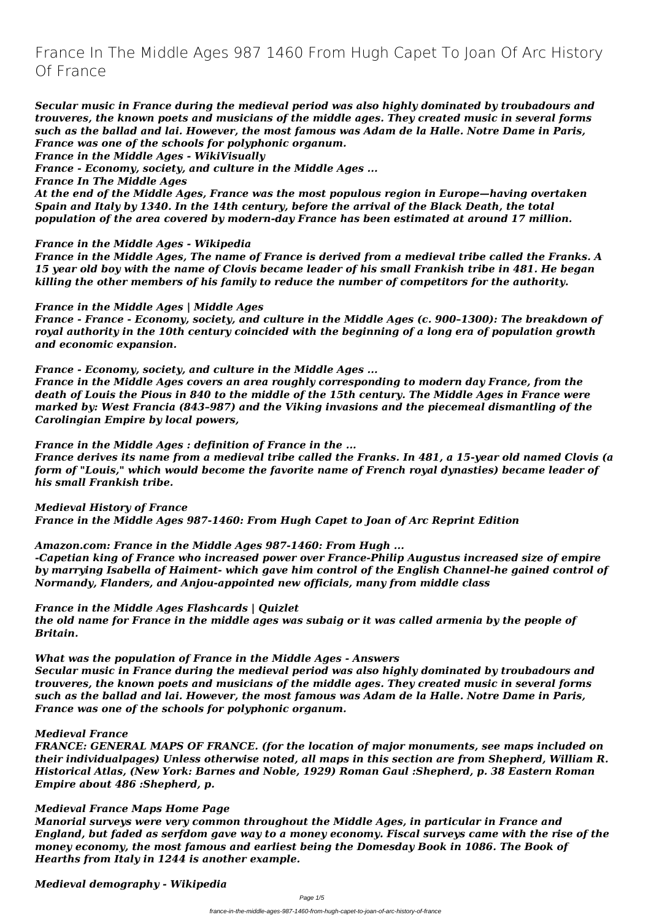# **France In The Middle Ages 987 1460 From Hugh Capet To Joan Of Arc History Of France**

*Secular music in France during the medieval period was also highly dominated by troubadours and trouveres, the known poets and musicians of the middle ages. They created music in several forms such as the ballad and lai. However, the most famous was Adam de la Halle. Notre Dame in Paris, France was one of the schools for polyphonic organum.*

*France in the Middle Ages - WikiVisually*

*France - Economy, society, and culture in the Middle Ages ...*

*France In The Middle Ages*

*At the end of the Middle Ages, France was the most populous region in Europe—having overtaken Spain and Italy by 1340. In the 14th century, before the arrival of the Black Death, the total population of the area covered by modern-day France has been estimated at around 17 million.*

#### *France in the Middle Ages - Wikipedia*

*France in the Middle Ages, The name of France is derived from a medieval tribe called the Franks. A 15 year old boy with the name of Clovis became leader of his small Frankish tribe in 481. He began killing the other members of his family to reduce the number of competitors for the authority.*

*France in the Middle Ages | Middle Ages*

*France - France - Economy, society, and culture in the Middle Ages (c. 900–1300): The breakdown of royal authority in the 10th century coincided with the beginning of a long era of population growth and economic expansion.*

*France - Economy, society, and culture in the Middle Ages ...*

*France in the Middle Ages covers an area roughly corresponding to modern day France, from the death of Louis the Pious in 840 to the middle of the 15th century. The Middle Ages in France were marked by: West Francia (843–987) and the Viking invasions and the piecemeal dismantling of the Carolingian Empire by local powers,*

*France in the Middle Ages : definition of France in the ...*

*France derives its name from a medieval tribe called the Franks. In 481, a 15-year old named Clovis (a form of "Louis," which would become the favorite name of French royal dynasties) became leader of his small Frankish tribe.*

*Medieval History of France France in the Middle Ages 987-1460: From Hugh Capet to Joan of Arc Reprint Edition*

*Amazon.com: France in the Middle Ages 987-1460: From Hugh ...*

*-Capetian king of France who increased power over France-Philip Augustus increased size of empire by marrying Isabella of Haiment- which gave him control of the English Channel-he gained control of Normandy, Flanders, and Anjou-appointed new officials, many from middle class*

*France in the Middle Ages Flashcards | Quizlet*

*the old name for France in the middle ages was subaig or it was called armenia by the people of Britain.*

*What was the population of France in the Middle Ages - Answers*

*Secular music in France during the medieval period was also highly dominated by troubadours and trouveres, the known poets and musicians of the middle ages. They created music in several forms such as the ballad and lai. However, the most famous was Adam de la Halle. Notre Dame in Paris, France was one of the schools for polyphonic organum.*

#### *Medieval France*

*FRANCE: GENERAL MAPS OF FRANCE. (for the location of major monuments, see maps included on their individualpages) Unless otherwise noted, all maps in this section are from Shepherd, William R. Historical Atlas, (New York: Barnes and Noble, 1929) Roman Gaul :Shepherd, p. 38 Eastern Roman Empire about 486 :Shepherd, p.*

#### *Medieval France Maps Home Page*

*Manorial surveys were very common throughout the Middle Ages, in particular in France and England, but faded as serfdom gave way to a money economy. Fiscal surveys came with the rise of the money economy, the most famous and earliest being the Domesday Book in 1086. The Book of Hearths from Italy in 1244 is another example.*

#### *Medieval demography - Wikipedia*

Page 1/5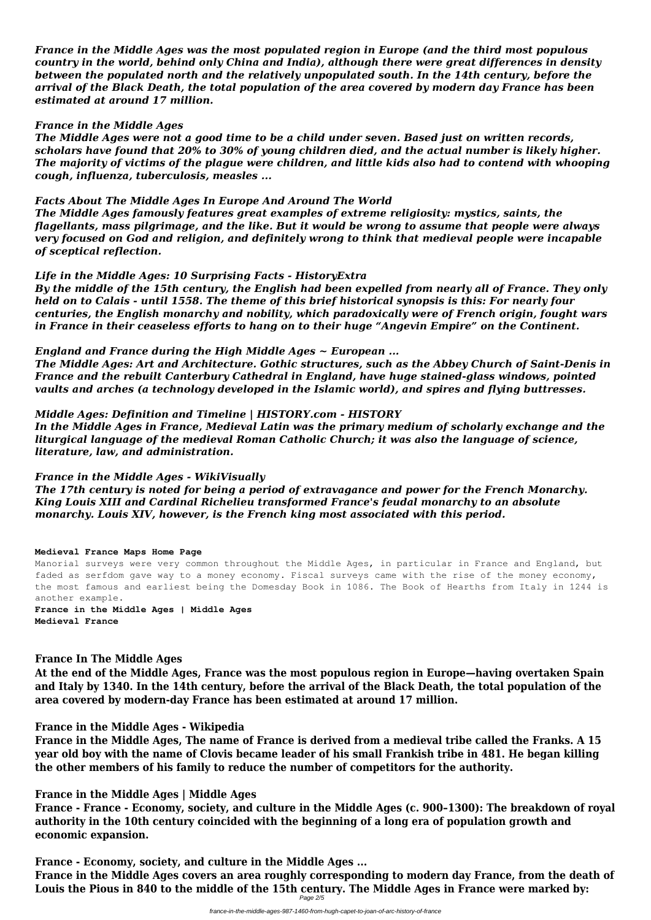*France in the Middle Ages was the most populated region in Europe (and the third most populous country in the world, behind only China and India), although there were great differences in density between the populated north and the relatively unpopulated south. In the 14th century, before the arrival of the Black Death, the total population of the area covered by modern day France has been estimated at around 17 million.*

#### *France in the Middle Ages*

*The Middle Ages were not a good time to be a child under seven. Based just on written records, scholars have found that 20% to 30% of young children died, and the actual number is likely higher. The majority of victims of the plague were children, and little kids also had to contend with whooping cough, influenza, tuberculosis, measles ...*

### *Facts About The Middle Ages In Europe And Around The World*

*The Middle Ages famously features great examples of extreme religiosity: mystics, saints, the flagellants, mass pilgrimage, and the like. But it would be wrong to assume that people were always very focused on God and religion, and definitely wrong to think that medieval people were incapable of sceptical reflection.*

### *Life in the Middle Ages: 10 Surprising Facts - HistoryExtra*

*By the middle of the 15th century, the English had been expelled from nearly all of France. They only held on to Calais - until 1558. The theme of this brief historical synopsis is this: For nearly four centuries, the English monarchy and nobility, which paradoxically were of French origin, fought wars in France in their ceaseless efforts to hang on to their huge "Angevin Empire" on the Continent.*

*England and France during the High Middle Ages ~ European ...*

*The Middle Ages: Art and Architecture. Gothic structures, such as the Abbey Church of Saint-Denis in France and the rebuilt Canterbury Cathedral in England, have huge stained-glass windows, pointed vaults and arches (a technology developed in the Islamic world), and spires and flying buttresses.*

## *Middle Ages: Definition and Timeline | HISTORY.com - HISTORY*

*In the Middle Ages in France, Medieval Latin was the primary medium of scholarly exchange and the liturgical language of the medieval Roman Catholic Church; it was also the language of science, literature, law, and administration.*

## *France in the Middle Ages - WikiVisually*

*The 17th century is noted for being a period of extravagance and power for the French Monarchy. King Louis XIII and Cardinal Richelieu transformed France's feudal monarchy to an absolute monarchy. Louis XIV, however, is the French king most associated with this period.*

#### **Medieval France Maps Home Page**

Manorial surveys were very common throughout the Middle Ages, in particular in France and England, but faded as serfdom gave way to a money economy. Fiscal surveys came with the rise of the money economy, the most famous and earliest being the Domesday Book in 1086. The Book of Hearths from Italy in 1244 is another example.

**France in the Middle Ages | Middle Ages Medieval France**

## **France In The Middle Ages**

**At the end of the Middle Ages, France was the most populous region in Europe—having overtaken Spain and Italy by 1340. In the 14th century, before the arrival of the Black Death, the total population of the**

**area covered by modern-day France has been estimated at around 17 million.**

**France in the Middle Ages - Wikipedia**

**France in the Middle Ages, The name of France is derived from a medieval tribe called the Franks. A 15 year old boy with the name of Clovis became leader of his small Frankish tribe in 481. He began killing the other members of his family to reduce the number of competitors for the authority.**

**France in the Middle Ages | Middle Ages**

**France - France - Economy, society, and culture in the Middle Ages (c. 900–1300): The breakdown of royal authority in the 10th century coincided with the beginning of a long era of population growth and economic expansion.**

**France - Economy, society, and culture in the Middle Ages ... France in the Middle Ages covers an area roughly corresponding to modern day France, from the death of Louis the Pious in 840 to the middle of the 15th century. The Middle Ages in France were marked by:** Page 2/5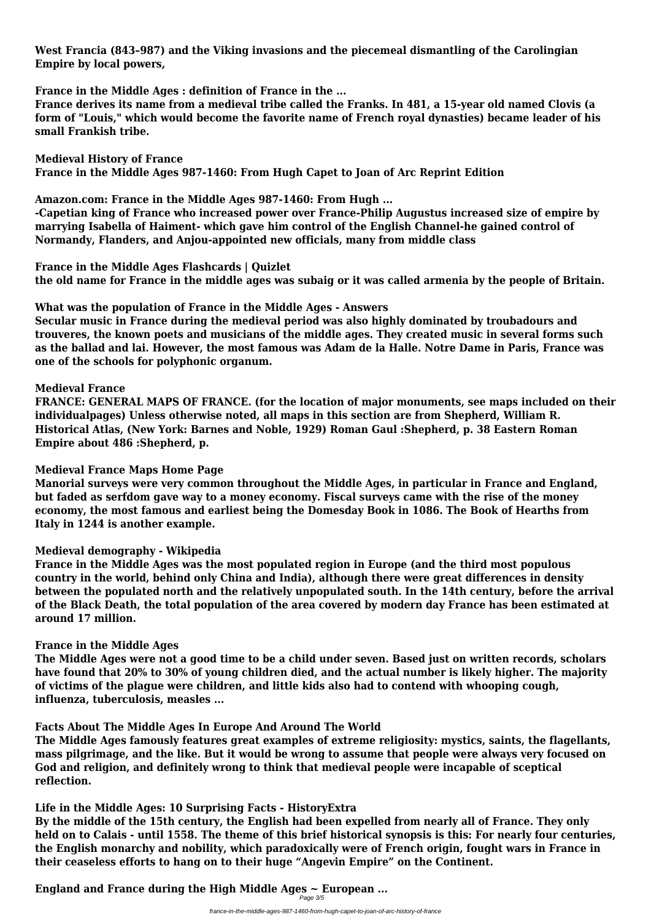**West Francia (843–987) and the Viking invasions and the piecemeal dismantling of the Carolingian Empire by local powers,**

**France in the Middle Ages : definition of France in the ...**

**France derives its name from a medieval tribe called the Franks. In 481, a 15-year old named Clovis (a form of "Louis," which would become the favorite name of French royal dynasties) became leader of his small Frankish tribe.**

**Medieval History of France France in the Middle Ages 987-1460: From Hugh Capet to Joan of Arc Reprint Edition**

**Amazon.com: France in the Middle Ages 987-1460: From Hugh ...**

**-Capetian king of France who increased power over France-Philip Augustus increased size of empire by marrying Isabella of Haiment- which gave him control of the English Channel-he gained control of Normandy, Flanders, and Anjou-appointed new officials, many from middle class**

**France in the Middle Ages Flashcards | Quizlet the old name for France in the middle ages was subaig or it was called armenia by the people of Britain.**

**What was the population of France in the Middle Ages - Answers**

**Secular music in France during the medieval period was also highly dominated by troubadours and trouveres, the known poets and musicians of the middle ages. They created music in several forms such as the ballad and lai. However, the most famous was Adam de la Halle. Notre Dame in Paris, France was one of the schools for polyphonic organum.**

**Medieval France**

**FRANCE: GENERAL MAPS OF FRANCE. (for the location of major monuments, see maps included on their individualpages) Unless otherwise noted, all maps in this section are from Shepherd, William R. Historical Atlas, (New York: Barnes and Noble, 1929) Roman Gaul :Shepherd, p. 38 Eastern Roman Empire about 486 :Shepherd, p.**

#### **Medieval France Maps Home Page**

**Manorial surveys were very common throughout the Middle Ages, in particular in France and England, but faded as serfdom gave way to a money economy. Fiscal surveys came with the rise of the money economy, the most famous and earliest being the Domesday Book in 1086. The Book of Hearths from Italy in 1244 is another example.**

#### **Medieval demography - Wikipedia**

**France in the Middle Ages was the most populated region in Europe (and the third most populous country in the world, behind only China and India), although there were great differences in density between the populated north and the relatively unpopulated south. In the 14th century, before the arrival of the Black Death, the total population of the area covered by modern day France has been estimated at around 17 million.**

#### **France in the Middle Ages**

**The Middle Ages were not a good time to be a child under seven. Based just on written records, scholars have found that 20% to 30% of young children died, and the actual number is likely higher. The majority of victims of the plague were children, and little kids also had to contend with whooping cough,**

#### **influenza, tuberculosis, measles ...**

#### **Facts About The Middle Ages In Europe And Around The World**

**The Middle Ages famously features great examples of extreme religiosity: mystics, saints, the flagellants, mass pilgrimage, and the like. But it would be wrong to assume that people were always very focused on God and religion, and definitely wrong to think that medieval people were incapable of sceptical reflection.**

#### **Life in the Middle Ages: 10 Surprising Facts - HistoryExtra**

**By the middle of the 15th century, the English had been expelled from nearly all of France. They only held on to Calais - until 1558. The theme of this brief historical synopsis is this: For nearly four centuries, the English monarchy and nobility, which paradoxically were of French origin, fought wars in France in their ceaseless efforts to hang on to their huge "Angevin Empire" on the Continent.**

#### **England and France during the High Middle Ages ~ European ...** Page 3/5

france-in-the-middle-ages-987-1460-from-hugh-capet-to-joan-of-arc-history-of-france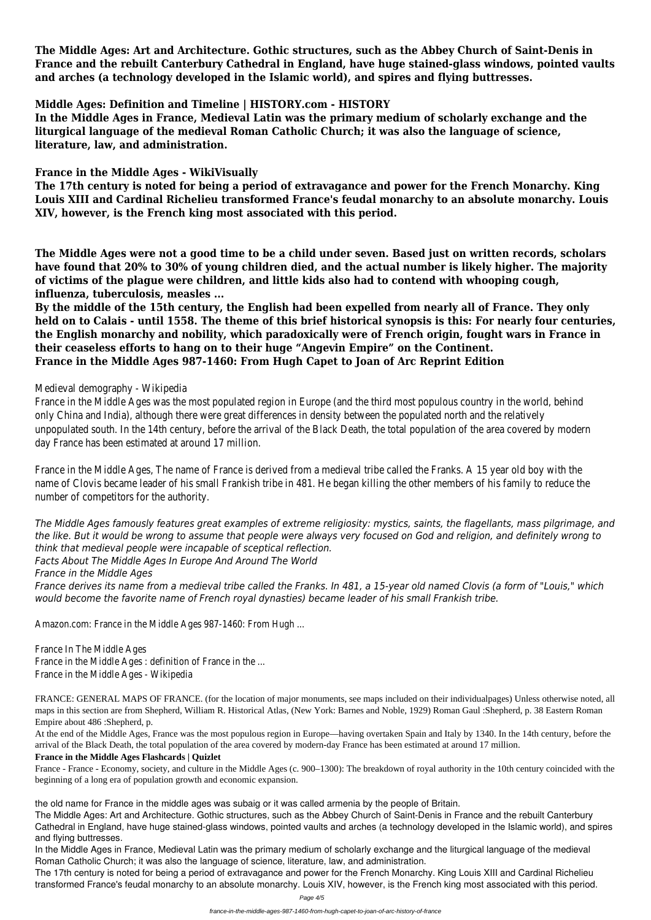**The Middle Ages: Art and Architecture. Gothic structures, such as the Abbey Church of Saint-Denis in France and the rebuilt Canterbury Cathedral in England, have huge stained-glass windows, pointed vaults and arches (a technology developed in the Islamic world), and spires and flying buttresses.**

#### **Middle Ages: Definition and Timeline | HISTORY.com - HISTORY**

**In the Middle Ages in France, Medieval Latin was the primary medium of scholarly exchange and the liturgical language of the medieval Roman Catholic Church; it was also the language of science, literature, law, and administration.**

#### **France in the Middle Ages - WikiVisually**

**The 17th century is noted for being a period of extravagance and power for the French Monarchy. King Louis XIII and Cardinal Richelieu transformed France's feudal monarchy to an absolute monarchy. Louis XIV, however, is the French king most associated with this period.**

**The Middle Ages were not a good time to be a child under seven. Based just on written records, scholars have found that 20% to 30% of young children died, and the actual number is likely higher. The majority of victims of the plague were children, and little kids also had to contend with whooping cough, influenza, tuberculosis, measles ...**

France in the Middle Ages was the most populated region in Europe (and the third most populous country in the world, behin only China and India), although there were great differences in density between the populated north and the relatively unpopulated south. In the 14th century, before the arrival of the Black Death, the total population of the area covered by mo day France has been estimated at around 17 million.

**By the middle of the 15th century, the English had been expelled from nearly all of France. They only held on to Calais - until 1558. The theme of this brief historical synopsis is this: For nearly four centuries, the English monarchy and nobility, which paradoxically were of French origin, fought wars in France in their ceaseless efforts to hang on to their huge "Angevin Empire" on the Continent. France in the Middle Ages 987-1460: From Hugh Capet to Joan of Arc Reprint Edition**

#### Medieval demography - Wikipedia

France in the Middle Ages, The name of France is derived from a medieval tribe called the Franks. A 15 year old boy with the name of Clovis became leader of his small Frankish tribe in 481. He began killing the other members of his family to reduce the number of competitors for the authority.

*The Middle Ages famously features great examples of extreme religiosity: mystics, saints, the flagellants, mass pilgrimage, and the like. But it would be wrong to assume that people were always very focused on God and religion, and definitely wrong to think that medieval people were incapable of sceptical reflection. Facts About The Middle Ages In Europe And Around The World France in the Middle Ages France derives its name from a medieval tribe called the Franks. In 481, a 15-year old named Clovis (a form of "Louis," which would become the favorite name of French royal dynasties) became leader of his small Frankish tribe.*

Amazon.com: France in the Middle Ages 987-1460: From Hugh ...

France In The Middle Ages France in the Middle Ages : definition of France in the ... France in the Middle Ages - Wikipedia

FRANCE: GENERAL MAPS OF FRANCE. (for the location of major monuments, see maps included on their individualpages) Unless otherwise noted, all maps in this section are from Shepherd, William R. Historical Atlas, (New York: Barnes and Noble, 1929) Roman Gaul :Shepherd, p. 38 Eastern Roman Empire about 486 :Shepherd, p.

At the end of the Middle Ages, France was the most populous region in Europe—having overtaken Spain and Italy by 1340. In the 14th century, before the arrival of the Black Death, the total population of the area covered by modern-day France has been estimated at around 17 million.

#### **France in the Middle Ages Flashcards | Quizlet**

France - France - Economy, society, and culture in the Middle Ages (c. 900–1300): The breakdown of royal authority in the 10th century coincided with the beginning of a long era of population growth and economic expansion.

the old name for France in the middle ages was subaig or it was called armenia by the people of Britain.

The Middle Ages: Art and Architecture. Gothic structures, such as the Abbey Church of Saint-Denis in France and the rebuilt Canterbury Cathedral in England, have huge stained-glass windows, pointed vaults and arches (a technology developed in the Islamic world), and spires and flying buttresses.

In the Middle Ages in France, Medieval Latin was the primary medium of scholarly exchange and the liturgical language of the medieval Roman Catholic Church; it was also the language of science, literature, law, and administration.

The 17th century is noted for being a period of extravagance and power for the French Monarchy. King Louis XIII and Cardinal Richelieu transformed France's feudal monarchy to an absolute monarchy. Louis XIV, however, is the French king most associated with this period.

Page 4/5